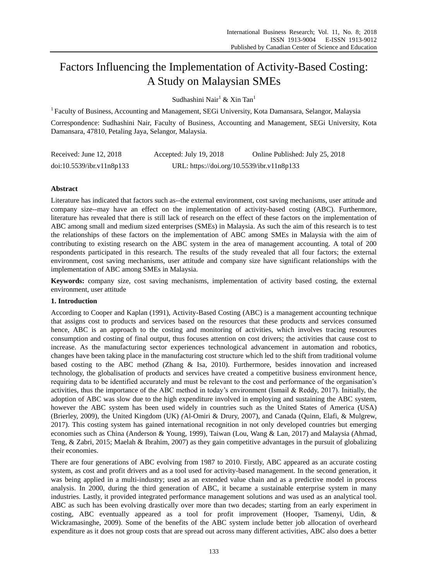# Factors Influencing the Implementation of Activity-Based Costing: A Study on Malaysian SMEs

Sudhashini Nair<sup>1</sup> & Xin Tan<sup>1</sup>

<sup>1</sup> Faculty of Business, Accounting and Management, SEGi University, Kota Damansara, Selangor, Malaysia

Correspondence: Sudhashini Nair, Faculty of Business, Accounting and Management, SEGi University, Kota Damansara, 47810, Petaling Jaya, Selangor, Malaysia.

| Received: June 12, 2018   | Accepted: July 19, 2018                    | Online Published: July 25, 2018 |
|---------------------------|--------------------------------------------|---------------------------------|
| doi:10.5539/ibr.v11n8p133 | URL: https://doi.org/10.5539/ibr.v11n8p133 |                                 |

# **Abstract**

Literature has indicated that factors such as--the external environment, cost saving mechanisms, user attitude and company size--may have an effect on the implementation of activity-based costing (ABC). Furthermore, literature has revealed that there is still lack of research on the effect of these factors on the implementation of ABC among small and medium sized enterprises (SMEs) in Malaysia. As such the aim of this research is to test the relationships of these factors on the implementation of ABC among SMEs in Malaysia with the aim of contributing to existing research on the ABC system in the area of management accounting. A total of 200 respondents participated in this research. The results of the study revealed that all four factors; the external environment, cost saving mechanisms, user attitude and company size have significant relationships with the implementation of ABC among SMEs in Malaysia.

**Keywords:** company size, cost saving mechanisms, implementation of activity based costing, the external environment, user attitude

## **1. Introduction**

According to Cooper and Kaplan (1991), Activity-Based Costing (ABC) is a management accounting technique that assigns cost to products and services based on the resources that these products and services consumed hence, ABC is an approach to the costing and monitoring of activities, which involves tracing resources consumption and costing of final output, thus focuses attention on cost drivers; the activities that cause cost to increase. As the manufacturing sector experiences technological advancement in automation and robotics, changes have been taking place in the manufacturing cost structure which led to the shift from traditional volume based costing to the ABC method (Zhang & Isa, 2010). Furthermore, besides innovation and increased technology, the globalisation of products and services have created a competitive business environment hence, requiring data to be identified accurately and must be relevant to the cost and performance of the organisation's activities, thus the importance of the ABC method in today's environment (Ismail & Reddy, 2017). Initially, the adoption of ABC was slow due to the high expenditure involved in employing and sustaining the ABC system, however the ABC system has been used widely in countries such as the United States of America (USA) (Brierley, 2009), the United Kingdom (UK) *(*Al-Omiri & Drury, 2007), and Canada (Quinn, Elafi, & Mulgrew, 2017). This costing system has gained international recognition in not only developed countries but emerging economies such as China (Anderson & Young, 1999), Taiwan (Lou, Wang & Lan, 2017) and Malaysia (Ahmad, Teng, & Zabri, 2015; Maelah & Ibrahim, 2007) as they gain competitive advantages in the pursuit of globalizing their economies.

There are four generations of ABC evolving from 1987 to 2010. Firstly, ABC appeared as an accurate costing system, as cost and profit drivers and as a tool used for activity-based management. In the second generation, it was being applied in a multi-industry; used as an extended value chain and as a predictive model in process analysis. In 2000, during the third generation of ABC, it became a sustainable enterprise system in many industries. Lastly, it provided integrated performance management solutions and was used as an analytical tool. ABC as such has been evolving drastically over more than two decades; starting from an early experiment in costing, ABC eventually appeared as a tool for profit improvement (Hooper, Tsamenyi, Udin, & Wickramasinghe, 2009). Some of the benefits of the ABC system include better job allocation of overheard expenditure as it does not group costs that are spread out across many different activities, ABC also does a better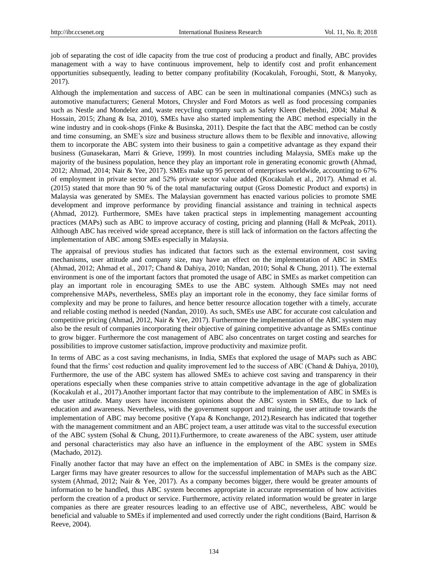job of separating the cost of idle capacity from the true cost of producing a product and finally, ABC provides management with a way to have continuous improvement, help to identify cost and profit enhancement opportunities subsequently, leading to better company profitability (Kocakulah, Foroughi, Stott, & Manyoky, 2017).

Although the implementation and success of ABC can be seen in multinational companies (MNCs) such as automotive manufacturers; General Motors, Chrysler and Ford Motors as well as food processing companies such as Nestle and Mondelez and, waste recycling company such as Safety Kleen (Beheshti, 2004; Mahal & Hossain, 2015; Zhang & Isa, 2010), SMEs have also started implementing the ABC method especially in the wine industry and in cook-shops (Finke & Businska, 2011). Despite the fact that the ABC method can be costly and time consuming, an SME's size and business structure allows them to be flexible and innovative, allowing them to incorporate the ABC system into their business to gain a competitive advantage as they expand their business (Gunasekaran, Marri & Grieve, 1999). In most countries including Malaysia, SMEs make up the majority of the business population, hence they play an important role in generating economic growth (Ahmad, 2012; Ahmad, 2014; Nair & Yee, 2017). SMEs make up 95 percent of enterprises worldwide, accounting to 67% of employment in private sector and 52% private sector value added (Kocakulah et al., 2017). Ahmad et al. (2015) stated that more than 90 % of the total manufacturing output (Gross Domestic Product and exports) in Malaysia was generated by SMEs. The Malaysian government has enacted various policies to promote SME development and improve performance by providing financial assistance and training in technical aspects (Ahmad, 2012). Furthermore, SMEs have taken practical steps in implementing management accounting practices (MAPs) such as ABC to improve accuracy of costing, pricing and planning (Hall & McPeak, 2011). Although ABC has received wide spread acceptance, there is still lack of information on the factors affecting the implementation of ABC among SMEs especially in Malaysia.

The appraisal of previous studies has indicated that factors such as the external environment, cost saving mechanisms, user attitude and company size, may have an effect on the implementation of ABC in SMEs (Ahmad, 2012; Ahmad et al., 2017; Chand & Dahiya, 2010; Nandan, 2010; Sohal & Chung, 2011). The external environment is one of the important factors that promoted the usage of ABC in SMEs as market competition can play an important role in encouraging SMEs to use the ABC system. Although SMEs may not need comprehensive MAPs, nevertheless, SMEs play an important role in the economy, they face similar forms of complexity and may be prone to failures, and hence better resource allocation together with a timely, accurate and reliable costing method is needed (Nandan, 2010). As such, SMEs use ABC for accurate cost calculation and competitive pricing (Ahmad, 2012, Nair & Yee, 2017). Furthermore the implementation of the ABC system may also be the result of companies incorporating their objective of gaining competitive advantage as SMEs continue to grow bigger. Furthermore the cost management of ABC also concentrates on target costing and searches for possibilities to improve customer satisfaction, improve productivity and maximize profit.

In terms of ABC as a cost saving mechanisms, in India, SMEs that explored the usage of MAPs such as ABC found that the firms' cost reduction and quality improvement led to the success of ABC (Chand & Dahiya, 2010), Furthermore, the use of the ABC system has allowed SMEs to achieve cost saving and transparency in their operations especially when these companies strive to attain competitive advantage in the age of globalization (Kocakulah et al., 2017).Another important factor that may contribute to the implementation of ABC in SMEs is the user attitude. Many users have inconsistent opinions about the ABC system in SMEs, due to lack of education and awareness. Nevertheless, with the government support and training, the user attitude towards the implementation of ABC may become positive (Yapa & Konchange, 2012).Research has indicated that together with the management commitment and an ABC project team, a user attitude was vital to the successful execution of the ABC system (Sohal & Chung, 2011).Furthermore, to create awareness of the ABC system, user attitude and personal characteristics may also have an influence in the employment of the ABC system in SMEs (Machado, 2012).

Finally another factor that may have an effect on the implementation of ABC in SMEs is the company size. Larger firms may have greater resources to allow for the successful implementation of MAPs such as the ABC system (Ahmad, 2012; Nair & Yee, 2017). As a company becomes bigger, there would be greater amounts of information to be handled, thus ABC system becomes appropriate in accurate representation of how activities perform the creation of a product or service. Furthermore, activity related information would be greater in large companies as there are greater resources leading to an effective use of ABC, nevertheless, ABC would be beneficial and valuable to SMEs if implemented and used correctly under the right conditions (Baird, Harrison & Reeve, 2004).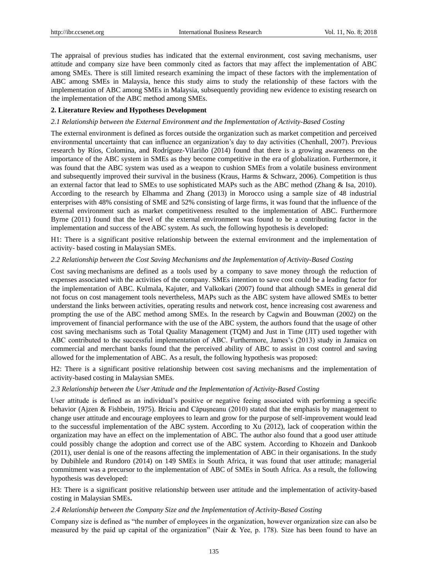The appraisal of previous studies has indicated that the external environment, cost saving mechanisms, user attitude and company size have been commonly cited as factors that may affect the implementation of ABC among SMEs. There is still limited research examining the impact of these factors with the implementation of ABC among SMEs in Malaysia, hence this study aims to study the relationship of these factors with the implementation of ABC among SMEs in Malaysia, subsequently providing new evidence to existing research on the implementation of the ABC method among SMEs.

### **2. Literature Review and Hypotheses Development**

### *2.1 Relationship between the External Environment and the Implementation of Activity-Based Costing*

The external environment is defined as forces outside the organization such as market competition and perceived environmental uncertainty that can influence an organization's day to day activities (Chenhall, 2007). Previous research by R bs, Colomina, and Rodr guez-Vilari no (2014) found that there is a growing awareness on the importance of the ABC system in SMEs as they become competitive in the era of globalization. Furthermore, it was found that the ABC system was used as a weapon to cushion SMEs from a volatile business environment and subsequently improved their survival in the business (Kraus, Harms & Schwarz, 2006). Competition is thus an external factor that lead to SMEs to use sophisticated MAPs such as the ABC method (Zhang & Isa, 2010). According to the research by Elhamma and Zhang (2013) in Morocco using a sample size of 48 industrial enterprises with 48% consisting of SME and 52% consisting of large firms, it was found that the influence of the external environment such as market competitiveness resulted to the implementation of ABC. Furthermore Byrne (2011) found that the level of the external environment was found to be a contributing factor in the implementation and success of the ABC system. As such, the following hypothesis is developed:

H1: There is a significant positive relationship between the external environment and the implementation of activity- based costing in Malaysian SMEs.

## *2.2 Relationship between the Cost Saving Mechanisms and the Implementation of Activity-Based Costing*

Cost saving mechanisms are defined as a tools used by a company to save money through the reduction of expenses associated with the activities of the company. SMEs intention to save cost could be a leading factor for the implementation of ABC. Kulmala, Kajuter, and Valkokari (2007) found that although SMEs in general did not focus on cost management tools nevertheless, MAPs such as the ABC system have allowed SMEs to better understand the links between activities, operating results and network cost, hence increasing cost awareness and prompting the use of the ABC method among SMEs. In the research by Cagwin and Bouwman (2002) on the improvement of financial performance with the use of the ABC system, the authors found that the usage of other cost saving mechanisms such as Total Quality Management (TQM) and Just in Time (JIT) used together with ABC contributed to the successful implementation of ABC. Furthermore, James's (2013) study in Jamaica on commercial and merchant banks found that the perceived ability of ABC to assist in cost control and saving allowed for the implementation of ABC. As a result, the following hypothesis was proposed:

H2: There is a significant positive relationship between cost saving mechanisms and the implementation of activity-based costing in Malaysian SMEs.

#### *2.3 Relationship between the User Attitude and the Implementation of Activity-Based Costing*

User attitude is defined as an individual's positive or negative feeing associated with performing a specific behavior (Ajzen & Fishbein, 1975). Briciu and Căpuşneanu (2010) stated that the emphasis by management to change user attitude and encourage employees to learn and grow for the purpose of self-improvement would lead to the successful implementation of the ABC system. According to Xu (2012), lack of cooperation within the organization may have an effect on the implementation of ABC. The author also found that a good user attitude could possibly change the adoption and correct use of the ABC system. According to Khozein and Dankoob (2011), user denial is one of the reasons affecting the implementation of ABC in their organisations. In the study by Dubihlele and Rundoro (2014) on 149 SMEs in South Africa, it was found that user attitude; managerial commitment was a precursor to the implementation of ABC of SMEs in South Africa. As a result, the following hypothesis was developed:

H3: There is a significant positive relationship between user attitude and the implementation of activity-based costing in Malaysian SMEs**.**

#### *2.4 Relationship between the Company Size and the Implementation of Activity-Based Costing*

Company size is defined as "the number of employees in the organization, however organization size can also be measured by the paid up capital of the organization" (Nair & Yee, p. 178). Size has been found to have an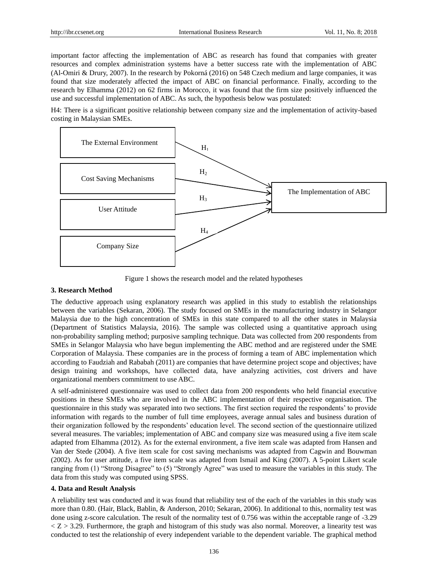important factor affecting the implementation of ABC as research has found that companies with greater resources and complex administration systems have a better success rate with the implementation of ABC (Al-Omiri & Drury, 2007). In the research by Pokorná (2016) on 548 Czech medium and large companies, it was found that size moderately affected the impact of ABC on financial performance. Finally, according to the research by Elhamma (2012) on 62 firms in Morocco, it was found that the firm size positively influenced the use and successful implementation of ABC. As such, the hypothesis below was postulated:

H4: There is a significant positive relationship between company size and the implementation of activity-based costing in Malaysian SMEs.



Figure 1 shows the research model and the related hypotheses

## **3. Research Method**

The deductive approach using explanatory research was applied in this study to establish the relationships between the variables (Sekaran, 2006). The study focused on SMEs in the manufacturing industry in Selangor Malaysia due to the high concentration of SMEs in this state compared to all the other states in Malaysia (Department of Statistics Malaysia, 2016). The sample was collected using a quantitative approach using non-probability sampling method; purposive sampling technique. Data was collected from 200 respondents from SMEs in Selangor Malaysia who have begun implementing the ABC method and are registered under the SME Corporation of Malaysia. These companies are in the process of forming a team of ABC implementation which according to Faudziah and Rababah (2011) are companies that have determine project scope and objectives; have design training and workshops, have collected data, have analyzing activities, cost drivers and have organizational members commitment to use ABC.

A self-administered questionnaire was used to collect data from 200 respondents who held financial executive positions in these SMEs who are involved in the ABC implementation of their respective organisation. The questionnaire in this study was separated into two sections. The first section required the respondents' to provide information with regards to the number of full time employees, average annual sales and business duration of their organization followed by the respondents' education level. The second section of the questionnaire utilized several measures. The variables; implementation of ABC and company size was measured using a five item scale adapted from Elhamma (2012). As for the external environment, a five item scale was adapted from Hansen and Van der Stede (2004). A five item scale for cost saving mechanisms was adapted from Cagwin and Bouwman (2002). As for user attitude, a five item scale was adapted from Ismail and King (2007). A 5-point Likert scale ranging from (1) "Strong Disagree" to (5) "Strongly Agree" was used to measure the variables in this study. The data from this study was computed using SPSS.

#### **4. Data and Result Analysis**

A reliability test was conducted and it was found that reliability test of the each of the variables in this study was more than 0.80. (Hair, Black, Bablin, & Anderson, 2010; Sekaran, 2006). In additional to this, normality test was done using z-score calculation. The result of the normality test of 0.756 was within the acceptable range of -3.29  $<$  Z  $>$  3.29. Furthermore, the graph and histogram of this study was also normal. Moreover, a linearity test was conducted to test the relationship of every independent variable to the dependent variable. The graphical method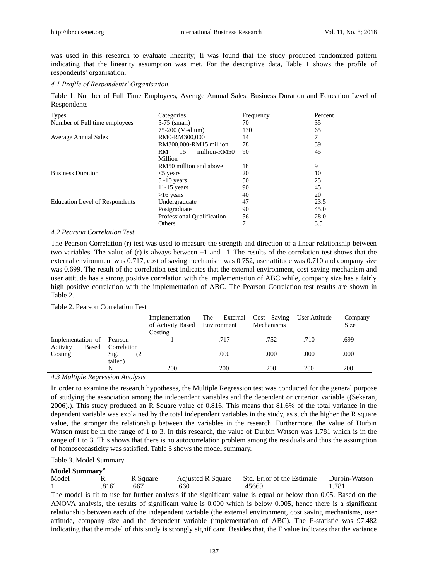was used in this research to evaluate linearity; Ii was found that the study produced randomized pattern indicating that the linearity assumption was met. For the descriptive data, Table 1 shows the profile of respondents' organisation.

*4.1 Profile of Respondents' Organisation.*

Table 1. Number of Full Time Employees, Average Annual Sales, Business Duration and Education Level of Respondents

| <b>Types</b>                          | Categories                 | Frequency | Percent |
|---------------------------------------|----------------------------|-----------|---------|
| Number of Full time employees         | 5-75 (small)               | 70        | 35      |
|                                       | 75-200 (Medium)            | 130       | 65      |
| <b>Average Annual Sales</b>           | RM0-RM300,000              | 14        | 7       |
|                                       | RM300,000-RM15 million     | 78        | 39      |
|                                       | million-RM50<br>RM.<br>15  | 90        | 45      |
|                                       | Million                    |           |         |
|                                       | RM50 million and above     | 18        | 9       |
| <b>Business Duration</b>              | $<$ 5 years                | 20        | 10      |
|                                       | $5 - 10$ years             | 50        | 25      |
|                                       | $11-15$ years              | 90        | 45      |
|                                       | $>16$ years                | 40        | 20      |
| <b>Education Level of Respondents</b> | Undergraduate              | 47        | 23.5    |
|                                       | Postgraduate               | 90        | 45.0    |
|                                       | Professional Qualification | 56        | 28.0    |
|                                       | Others                     | 7         | 3.5     |

## *4.2 Pearson Correlation Test*

The Pearson Correlation (r) test was used to measure the strength and direction of a linear relationship between two variables. The value of (r) is always between  $+1$  and  $-1$ . The results of the correlation test shows that the external environment was 0.717, cost of saving mechanism was 0.752, user attitude was 0.710 and company size was 0.699. The result of the correlation test indicates that the external environment, cost saving mechanism and user attitude has a strong positive correlation with the implementation of ABC while, company size has a fairly high positive correlation with the implementation of ABC. The Pearson Correlation test results are shown in Table 2.

#### Table 2. Pearson Correlation Test

|                           |             | Implementation<br>of Activity Based Environment | The<br>External | Cost Saving<br>Mechanisms | User Attitude | Company<br>Size |
|---------------------------|-------------|-------------------------------------------------|-----------------|---------------------------|---------------|-----------------|
|                           |             | Costing                                         |                 |                           |               |                 |
| Implementation of Pearson |             |                                                 | .717            | .752                      | .710          | .699            |
| Based<br>Activity         | Correlation |                                                 |                 |                           |               |                 |
| Costing                   | Sig.<br>(2) |                                                 | .000            | .000                      | .000          | .000            |
|                           | tailed)     |                                                 |                 |                           |               |                 |
|                           | N           | 200                                             | 200             | 200                       | 200           | 200             |

# *4.3 Multiple Regression Analysis*

In order to examine the research hypotheses, the Multiple Regression test was conducted for the general purpose of studying the association among the independent variables and the dependent or criterion variable ((Sekaran, 2006).). This study produced an R Square value of 0.816. This means that 81.6% of the total variance in the dependent variable was explained by the total independent variables in the study, as such the higher the R square value, the stronger the relationship between the variables in the research. Furthermore, the value of Durbin Watson must be in the range of 1 to 3. In this research, the value of Durbin Watson was 1.781 which is in the range of 1 to 3. This shows that there is no autocorrelation problem among the residuals and thus the assumption of homoscedasticity was satisfied. Table 3 shows the model summary.

## Table 3. Model Summary

| Model Summary <sup>p</sup> |                     |          |                   |                                                                |               |
|----------------------------|---------------------|----------|-------------------|----------------------------------------------------------------|---------------|
| Model                      |                     | R Square | Adiusted R Sauare | Std. I<br>$\overline{\phantom{0}}$<br>Error of the<br>Estimate | Durbin-Watson |
|                            | $.816$ <sup>a</sup> | .667     | .660              | .45669                                                         | 701<br>1.701  |

The model is fit to use for further analysis if the significant value is equal or below than 0.05. Based on the ANOVA analysis, the results of significant value is 0.000 which is below 0.005, hence there is a significant relationship between each of the independent variable (the external environment, cost saving mechanisms, user attitude, company size and the dependent variable (implementation of ABC). The F-statistic was 97.482 indicating that the model of this study is strongly significant. Besides that, the F value indicates that the variance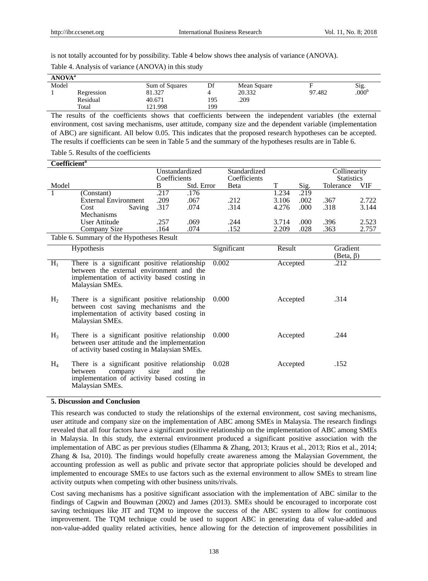is not totally accounted for by possibility. Table 4 below shows thee analysis of variance (ANOVA).

| ANOVA <sup>a</sup> |            |                |     |             |        |                              |
|--------------------|------------|----------------|-----|-------------|--------|------------------------------|
| Model              |            | Sum of Squares | Df  | Mean Square |        | $\frac{\text{Sig.}}{.000^b}$ |
|                    | Regression | 81.327         |     | 20.332      | 97.482 |                              |
|                    | Residual   | 40.671         | 195 | .209        |        |                              |
|                    | Total      | 121.998        | 199 |             |        |                              |

Table 4. Analysis of variance (ANOVA) in this study

The results of the coefficients shows that coefficients between the independent variables (the external environment, cost saving mechanisms, user attitude, company size and the dependent variable (implementation of ABC) are significant. All below 0.05. This indicates that the proposed research hypotheses can be accepted. The results if coefficients can be seen in Table 5 and the summary of the hypotheses results are in Table 6.

Table 5. Results of the coefficients

| Coefficient <sup>a</sup>                 |                      |        |              |                |              |       |      |              |                   |  |
|------------------------------------------|----------------------|--------|--------------|----------------|--------------|-------|------|--------------|-------------------|--|
|                                          |                      |        |              | Unstandardized | Standardized |       |      | Collinearity |                   |  |
|                                          |                      |        | Coefficients |                | Coefficients |       |      |              | <b>Statistics</b> |  |
| Model                                    |                      |        | В            | Std. Error     | Beta         | ᠇᠇    | Sig. | Tolerance    | VIF               |  |
|                                          | (Constant)           |        | .217         | .176           |              | 1.234 | .219 |              |                   |  |
|                                          | External Environment |        | .209         | .067           | .212         | 3.106 | .002 | .367         | 2.722             |  |
|                                          | Cost                 | Saving | .317         | .074           | .314         | 4.276 | .000 | .318         | 3.144             |  |
|                                          | Mechanisms           |        |              |                |              |       |      |              |                   |  |
|                                          | User Attitude        |        | .257         | .069           | .244         | 3.714 | .000 | .396         | 2.523             |  |
|                                          | Company Size         |        | .164         | .074           | .152         | 2.209 | .028 | .363         | 2.757             |  |
| Table 6 Summary of the Hypotheses Result |                      |        |              |                |              |       |      |              |                   |  |

Table 6. Summary of the Hypotheses Result

|                | Hypothesis                                                                                                                                                 | Significant | Result   | Gradient<br>$(Beta, \beta)$ |
|----------------|------------------------------------------------------------------------------------------------------------------------------------------------------------|-------------|----------|-----------------------------|
| $H_1$          | There is a significant positive relationship<br>between the external environment and the<br>implementation of activity based costing in<br>Malaysian SMEs. | 0.002       | Accepted | .212                        |
| H <sub>2</sub> | There is a significant positive relationship<br>between cost saving mechanisms and the<br>implementation of activity based costing in<br>Malaysian SMEs.   | 0.000       | Accepted | .314                        |
| $H_3$          | There is a significant positive relationship<br>between user attitude and the implementation<br>of activity based costing in Malaysian SMEs.               | 0.000       | Accepted | .244                        |
| $H_4$          | There is a significant positive relationship<br>and<br>company<br>the<br>size<br>between<br>implementation of activity based costing in<br>Malaysian SMEs. | 0.028       | Accepted | .152                        |

#### **5. Discussion and Conclusion**

This research was conducted to study the relationships of the external environment, cost saving mechanisms, user attitude and company size on the implementation of ABC among SMEs in Malaysia. The research findings revealed that all four factors have a significant positive relationship on the implementation of ABC among SMEs in Malaysia. In this study, the external environment produced a significant positive association with the implementation of ABC as per previous studies (Elhamma & Zhang, 2013; Kraus et al., 2013; Rios et al., 2014; Zhang & Isa, 2010). The findings would hopefully create awareness among the Malaysian Government, the accounting profession as well as public and private sector that appropriate policies should be developed and implemented to encourage SMEs to use factors such as the external environment to allow SMEs to stream line activity outputs when competing with other business units/rivals.

Cost saving mechanisms has a positive significant association with the implementation of ABC similar to the findings of Cagwin and Bouwman (2002) and James (2013). SMEs should be encouraged to incorporate cost saving techniques like JIT and TQM to improve the success of the ABC system to allow for continuous improvement. The TQM technique could be used to support ABC in generating data of value-added and non-value-added quality related activities, hence allowing for the detection of improvement possibilities in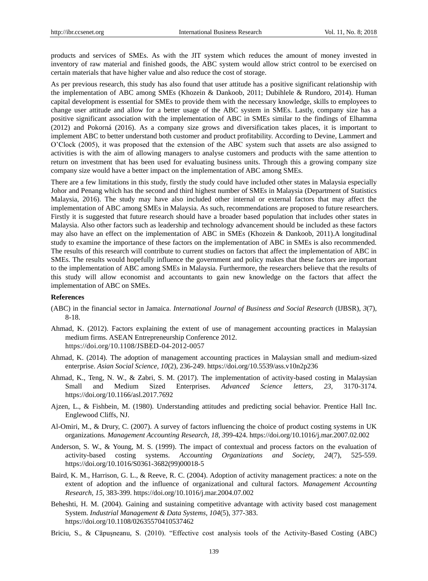products and services of SMEs. As with the JIT system which reduces the amount of money invested in inventory of raw material and finished goods, the ABC system would allow strict control to be exercised on certain materials that have higher value and also reduce the cost of storage.

As per previous research, this study has also found that user attitude has a positive significant relationship with the implementation of ABC among SMEs (Khozein & Dankoob, 2011; Dubihlele & Rundoro, 2014). Human capital development is essential for SMEs to provide them with the necessary knowledge, skills to employees to change user attitude and allow for a better usage of the ABC system in SMEs. Lastly, company size has a positive significant association with the implementation of ABC in SMEs similar to the findings of Elhamma (2012) and Pokorná (2016). As a company size grows and diversification takes places, it is important to implement ABC to better understand both customer and product profitability. According to Devine, Lammert and O'Clock (2005), it was proposed that the extension of the ABC system such that assets are also assigned to activities is with the aim of allowing managers to analyse customers and products with the same attention to return on investment that has been used for evaluating business units. Through this a growing company size company size would have a better impact on the implementation of ABC among SMEs.

There are a few limitations in this study, firstly the study could have included other states in Malaysia especially Johor and Penang which has the second and third highest number of SMEs in Malaysia (Department of Statistics Malaysia, 2016). The study may have also included other internal or external factors that may affect the implementation of ABC among SMEs in Malaysia. As such, recommendations are proposed to future researchers. Firstly it is suggested that future research should have a broader based population that includes other states in Malaysia. Also other factors such as leadership and technology advancement should be included as these factors may also have an effect on the implementation of ABC in SMEs (Khozein & Dankoob, 2011).A longitudinal study to examine the importance of these factors on the implementation of ABC in SMEs is also recommended. The results of this research will contribute to current studies on factors that affect the implementation of ABC in SMEs. The results would hopefully influence the government and policy makes that these factors are important to the implementation of ABC among SMEs in Malaysia. Furthermore, the researchers believe that the results of this study will allow economist and accountants to gain new knowledge on the factors that affect the implementation of ABC on SMEs.

#### **References**

- (ABC) in the financial sector in Jamaica. *International Journal of Business and Social Research* (IJBSR), *3*(7), 8-18.
- Ahmad, K. (2012). Factors explaining the extent of use of management accounting practices in Malaysian medium firms. ASEAN Entrepreneurship Conference 2012. <https://doi.org/10.1108/JSBED-04-2012-0057>
- Ahmad, K. (2014). The adoption of management accounting practices in Malaysian small and medium-sized enterprise. *Asian Social Science, 10*(2), 236-249. https://doi.org/10.5539/ass.v10n2p236
- Ahmad, K., Teng, N. W., & Zabri, S. M. (2017). The implementation of activity-based costing in Malaysian Small and Medium Sized Enterprises. *Advanced Science letters, 23,* 3170-3174. https://doi.org/10.1166/asl.2017.7692
- Ajzen, L., & Fishbein, M. (1980). Understanding attitudes and predicting social behavior. Prentice Hall Inc. Englewood Cliffs, NJ.
- Al-Omiri, M., & Drury, C. (2007). A survey of factors influencing the choice of product costing systems in UK organizations*. Management Accounting Research, 18, 3*99-424. https://doi.org/10.1016/j.mar.2007.02.002
- Anderson, S. W., & Young, M. S. (1999). The impact of contextual and process factors on the evaluation of activity-based costing systems. *Accounting Organizations and Society, 24*(7), 525-559. https://doi.org/10.1016/S0361-3682(99)00018-5
- Baird, K. M., Harrison, G. L., & Reeve, R. C. (2004). Adoption of activity management practices: a note on the extent of adoption and the influence of organizational and cultural factors. *Management Accounting Research, 15*, 383-399. https://doi.org/10.1016/j.mar.2004.07.002
- Beheshti, H. M. (2004). Gaining and sustaining competitive advantage with activity based cost management System. *Industrial Management & Data Systems, 104*(5), 377-383. https://doi.org/10.1108/02635570410537462
- Briciu, S., & Căpuşneanu, S. (2010). "Effective cost analysis tools of the Activity-Based Costing (ABC)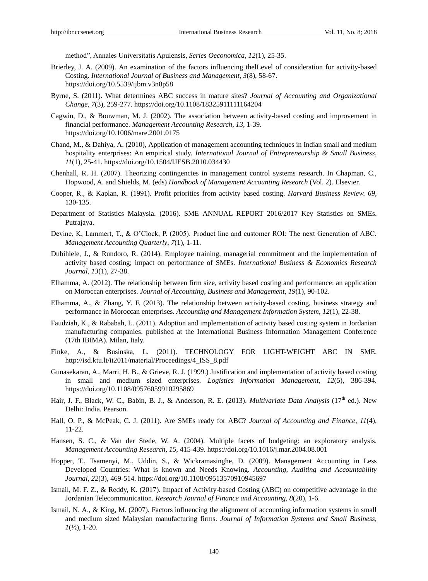method", Annales Universitatis Apulensis, *Series Oeconomica, 12*(1), 25-35.

- Brierley, J. A. (2009). An examination of the factors influencing thelLevel of consideration for activity-based Costing. *International Journal of Business and Management, 3*(8), 58-67. https://doi.org/10.5539/ijbm.v3n8p58
- Byrne, S. (2011). What determines ABC success in mature sites? *Journal of Accounting and Organizational Change*, *7*(3), 259-277. https://doi.org/10.1108/18325911111164204
- Cagwin, D., & Bouwman, M. J. (2002). The association between activity-based costing and improvement in financial performance*. Management Accounting Research, 13,* 1-39. <https://doi.org/10.1006/mare.2001.0175>
- Chand, M., & Dahiya, A. (2010), Application of management accounting techniques in Indian small and medium hospitality enterprises: An empirical study. *International Journal of Entrepreneurship & Small Business*, *11*(1), 25-41. https://doi.org/10.1504/IJESB.2010.034430
- Chenhall, R. H. (2007). Theorizing contingencies in management control systems research. In Chapman, C., Hopwood, A. and Shields, M. (eds) *Handbook of Management Accounting Research* (Vol. 2). Elsevier.
- Cooper, R., & Kaplan, R. (1991). Profit priorities from activity based costing. *Harvard Business Review. 69,* 130-135.
- Department of Statistics Malaysia. (2016). SME ANNUAL REPORT 2016/2017 Key Statistics on SMEs. Putrajaya.
- Devine, K, Lammert, T., & O'Clock, P. (2005). Product line and customer ROI: The next Generation of ABC. *Management Accounting Quarterly*, *7*(1), 1-11.
- Dubihlele, J., & Rundoro, R. (2014). Employee training, managerial commitment and the implementation of activity based costing; impact on performance of SMEs. *International Business & Economics Research Journal, 13*(1), 27-38.
- Elhamma, A. (2012). The relationship between firm size, activity based costing and performance: an application on Moroccan enterprises. *Journal of Accounting, Business and Management*, *19*(1), 90-102.
- Elhamma, A., & Zhang, Y. F. (2013). The relationship between activity-based costing, business strategy and performance in Moroccan enterprises. *Accounting and Management Information System*, *12*(1), 22-38.
- Faudziah, K., & Rababah, L. (2011). Adoption and implementation of activity based costing system in Jordanian manufacturing companies. published at the International Business Information Management Conference (17th IBIMA). Milan, Italy.
- Finke, A., & Businska, L. (2011). TECHNOLOGY FOR LIGHT-WEIGHT ABC IN SME. [http://isd.ktu.lt/it2011/material/Proceedings/4\\_ISS\\_8.pdf](http://isd.ktu.lt/it2011/material/Proceedings/4_ISS_8.pdf)
- Gunasekaran, A., Marri, H. B., & Grieve, R. J. (1999.) Justification and implementation of activity based costing in small and medium sized enterprises. *Logistics Information Management, 12*(5), 386-394. https://doi.org/10.1108/09576059910295869
- Hair, J. F., Black, W. C., Babin, B. J., & Anderson, R. E. (2013). *Multivariate Data Analysis* (17<sup>th</sup> ed.). New Delhi: India. Pearson.
- Hall, O. P., & McPeak, C. J. (2011). Are SMEs ready for ABC? *Journal of Accounting and Finance, 11*(4), 11-22.
- Hansen, S. C., & Van der Stede, W. A. (2004). Multiple facets of budgeting: an exploratory analysis. *Management Accounting Research*, *15,* 415-439. https://doi.org/10.1016/j.mar.2004.08.001
- Hopper, T., Tsamenyi, M., Uddin, S., & Wickramasinghe, D. (2009). Management Accounting in Less Developed Countries: What is known and Needs Knowing. *Accounting, Auditing and Accountability Journal*, *22*(3), 469-514. https://doi.org/10.1108/09513570910945697
- Ismail, M. F. Z., & Reddy, K. (2017). Impact of Activity-based Costing (ABC) on competitive advantage in the Jordanian Telecommunication. *Research Journal of Finance and Accounting, 8*(20), 1-6.
- Ismail, N. A., & King, M. (2007). Factors influencing the alignment of accounting information systems in small and medium sized Malaysian manufacturing firms. *Journal of Information Systems and Small Business,*   $I(\frac{1}{2}), 1-20.$